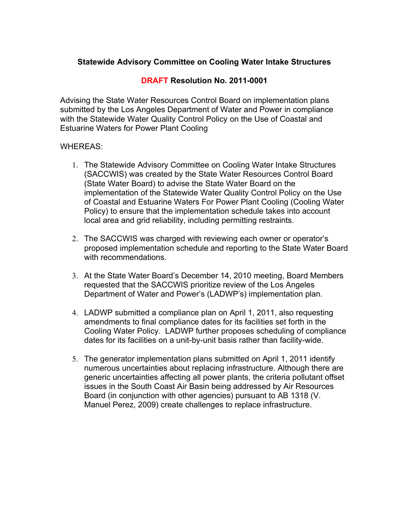## **Statewide Advisory Committee on Cooling Water Intake Structures**

### **DRAFT Resolution No. 2011-0001**

Advising the State Water Resources Control Board on implementation plans submitted by the Los Angeles Department of Water and Power in compliance with the Statewide Water Quality Control Policy on the Use of Coastal and Estuarine Waters for Power Plant Cooling

#### WHEREAS:

- 1. The Statewide Advisory Committee on Cooling Water Intake Structures (SACCWIS) was created by the State Water Resources Control Board (State Water Board) to advise the State Water Board on the implementation of the Statewide Water Quality Control Policy on the Use of Coastal and Estuarine Waters For Power Plant Cooling (Cooling Water Policy) to ensure that the implementation schedule takes into account local area and grid reliability, including permitting restraints.
- 2. The SACCWIS was charged with reviewing each owner or operator's proposed implementation schedule and reporting to the State Water Board with recommendations.
- 3. At the State Water Board's December 14, 2010 meeting, Board Members requested that the SACCWIS prioritize review of the Los Angeles Department of Water and Power's (LADWP's) implementation plan.
- 4. LADWP submitted a compliance plan on April 1, 2011, also requesting amendments to final compliance dates for its facilities set forth in the Cooling Water Policy. LADWP further proposes scheduling of compliance dates for its facilities on a unit-by-unit basis rather than facility-wide.
- 5. The generator implementation plans submitted on April 1, 2011 identify numerous uncertainties about replacing infrastructure. Although there are generic uncertainties affecting all power plants, the criteria pollutant offset issues in the South Coast Air Basin being addressed by Air Resources Board (in conjunction with other agencies) pursuant to AB 1318 (V. Manuel Perez, 2009) create challenges to replace infrastructure.